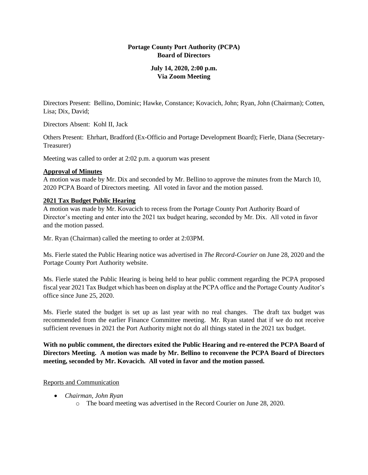## **Portage County Port Authority (PCPA) Board of Directors**

## **July 14, 2020, 2:00 p.m. Via Zoom Meeting**

Directors Present: Bellino, Dominic; Hawke, Constance; Kovacich, John; Ryan, John (Chairman); Cotten, Lisa; Dix, David;

Directors Absent: Kohl II, Jack

Others Present: Ehrhart, Bradford (Ex-Officio and Portage Development Board); Fierle, Diana (Secretary-Treasurer)

Meeting was called to order at 2:02 p.m. a quorum was present

### **Approval of Minutes**

A motion was made by Mr. Dix and seconded by Mr. Bellino to approve the minutes from the March 10, 2020 PCPA Board of Directors meeting. All voted in favor and the motion passed.

### **2021 Tax Budget Public Hearing**

A motion was made by Mr. Kovacich to recess from the Portage County Port Authority Board of Director's meeting and enter into the 2021 tax budget hearing, seconded by Mr. Dix. All voted in favor and the motion passed.

Mr. Ryan (Chairman) called the meeting to order at 2:03PM.

Ms. Fierle stated the Public Hearing notice was advertised in *The Record-Courier* on June 28, 2020 and the Portage County Port Authority website.

Ms. Fierle stated the Public Hearing is being held to hear public comment regarding the PCPA proposed fiscal year 2021 Tax Budget which has been on display at the PCPA office and the Portage County Auditor's office since June 25, 2020.

Ms. Fierle stated the budget is set up as last year with no real changes. The draft tax budget was recommended from the earlier Finance Committee meeting. Mr. Ryan stated that if we do not receive sufficient revenues in 2021 the Port Authority might not do all things stated in the 2021 tax budget.

**With no public comment, the directors exited the Public Hearing and re-entered the PCPA Board of Directors Meeting. A motion was made by Mr. Bellino to reconvene the PCPA Board of Directors meeting, seconded by Mr. Kovacich. All voted in favor and the motion passed.**

## Reports and Communication

- *Chairman, John Ryan*
	- o The board meeting was advertised in the Record Courier on June 28, 2020.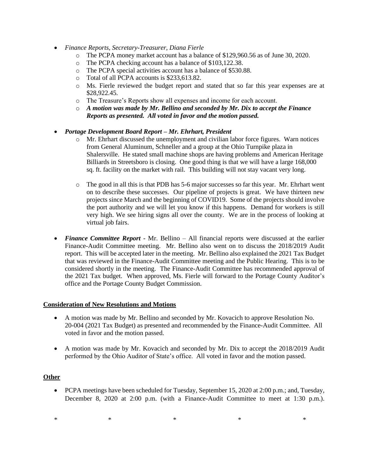- *Finance Reports, Secretary-Treasurer, Diana Fierle*
	- o The PCPA money market account has a balance of \$129,960.56 as of June 30, 2020.
	- o The PCPA checking account has a balance of \$103,122.38.
	- o The PCPA special activities account has a balance of \$530.88.
	- o Total of all PCPA accounts is \$233,613.82.
	- o Ms. Fierle reviewed the budget report and stated that so far this year expenses are at \$28,922.45.
	- o The Treasure's Reports show all expenses and income for each account.
	- o *A motion was made by Mr. Bellino and seconded by Mr. Dix to accept the Finance Reports as presented. All voted in favor and the motion passed.*

### • *Portage Development Board Report – Mr. Ehrhart, President*

- o Mr. Ehrhart discussed the unemployment and civilian labor force figures. Warn notices from General Aluminum, Schneller and a group at the Ohio Turnpike plaza in Shalersville. He stated small machine shops are having problems and American Heritage Billiards in Streetsboro is closing. One good thing is that we will have a large 168,000 sq. ft. facility on the market with rail. This building will not stay vacant very long.
- o The good in all this is that PDB has 5-6 major successes so far this year. Mr. Ehrhart went on to describe these successes. Our pipeline of projects is great. We have thirteen new projects since March and the beginning of COVID19. Some of the projects should involve the port authority and we will let you know if this happens. Demand for workers is still very high. We see hiring signs all over the county. We are in the process of looking at virtual job fairs.
- *Finance Committee Report* Mr. Bellino All financial reports were discussed at the earlier Finance-Audit Committee meeting. Mr. Bellino also went on to discuss the 2018/2019 Audit report. This will be accepted later in the meeting. Mr. Bellino also explained the 2021 Tax Budget that was reviewed in the Finance-Audit Committee meeting and the Public Hearing. This is to be considered shortly in the meeting. The Finance-Audit Committee has recommended approval of the 2021 Tax budget. When approved, Ms. Fierle will forward to the Portage County Auditor's office and the Portage County Budget Commission.

#### **Consideration of New Resolutions and Motions**

- A motion was made by Mr. Bellino and seconded by Mr. Kovacich to approve Resolution No. 20-004 (2021 Tax Budget) as presented and recommended by the Finance-Audit Committee. All voted in favor and the motion passed.
- A motion was made by Mr. Kovacich and seconded by Mr. Dix to accept the 2018/2019 Audit performed by the Ohio Auditor of State's office. All voted in favor and the motion passed.

#### **Other**

• PCPA meetings have been scheduled for Tuesday, September 15, 2020 at 2:00 p.m.; and, Tuesday, December 8, 2020 at 2:00 p.m. (with a Finance-Audit Committee to meet at 1:30 p.m.).

 $*$   $*$   $*$   $*$   $*$   $*$   $*$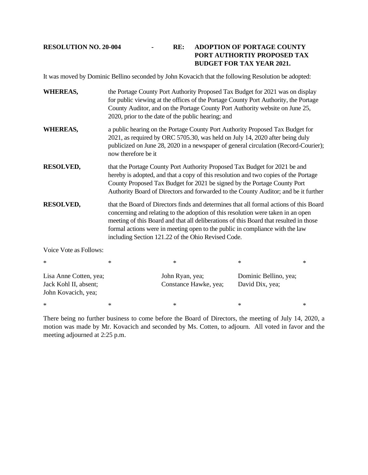# **RESOLUTION NO. 20-004 - RE: ADOPTION OF PORTAGE COUNTY PORT AUTHORTIY PROPOSED TAX BUDGET FOR TAX YEAR 2021.**

It was moved by Dominic Bellino seconded by John Kovacich that the following Resolution be adopted:

| <b>WHEREAS,</b>                                                        | the Portage County Port Authority Proposed Tax Budget for 2021 was on display<br>for public viewing at the offices of the Portage County Port Authority, the Portage<br>County Auditor, and on the Portage County Port Authority website on June 25,<br>2020, prior to the date of the public hearing; and                                                                                                |                                          |                                          |        |
|------------------------------------------------------------------------|-----------------------------------------------------------------------------------------------------------------------------------------------------------------------------------------------------------------------------------------------------------------------------------------------------------------------------------------------------------------------------------------------------------|------------------------------------------|------------------------------------------|--------|
| <b>WHEREAS,</b>                                                        | a public hearing on the Portage County Port Authority Proposed Tax Budget for<br>2021, as required by ORC 5705.30, was held on July 14, 2020 after being duly<br>publicized on June 28, 2020 in a newspaper of general circulation (Record-Courier);<br>now therefore be it                                                                                                                               |                                          |                                          |        |
| <b>RESOLVED,</b>                                                       | that the Portage County Port Authority Proposed Tax Budget for 2021 be and<br>hereby is adopted, and that a copy of this resolution and two copies of the Portage<br>County Proposed Tax Budget for 2021 be signed by the Portage County Port<br>Authority Board of Directors and forwarded to the County Auditor; and be it further                                                                      |                                          |                                          |        |
| <b>RESOLVED,</b>                                                       | that the Board of Directors finds and determines that all formal actions of this Board<br>concerning and relating to the adoption of this resolution were taken in an open<br>meeting of this Board and that all deliberations of this Board that resulted in those<br>formal actions were in meeting open to the public in compliance with the law<br>including Section 121.22 of the Ohio Revised Code. |                                          |                                          |        |
| Voice Vote as Follows:                                                 |                                                                                                                                                                                                                                                                                                                                                                                                           |                                          |                                          |        |
| $\ast$                                                                 | ∗                                                                                                                                                                                                                                                                                                                                                                                                         | $\ast$                                   | $\ast$                                   | $\ast$ |
| Lisa Anne Cotten, yea;<br>Jack Kohl II, absent;<br>John Kovacich, yea; |                                                                                                                                                                                                                                                                                                                                                                                                           | John Ryan, yea;<br>Constance Hawke, yea; | Dominic Bellino, yea;<br>David Dix, yea; |        |

There being no further business to come before the Board of Directors, the meeting of July 14, 2020, a motion was made by Mr. Kovacich and seconded by Ms. Cotten, to adjourn. All voted in favor and the meeting adjourned at 2:25 p.m.

 $*$   $*$   $*$   $*$   $*$   $*$